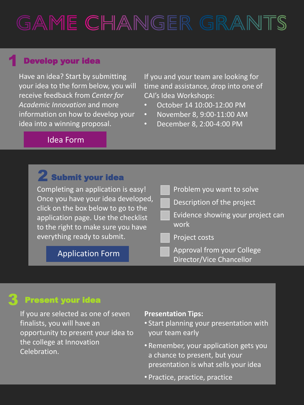# GAME CHANGER GRANTS

### Develop your idea

Have an idea? Start by submitting your idea to the form below, you will receive feedback from *Center for Academic Innovation* and more information on how to develop your idea into a winning proposal.

If you and your team are looking for time and assistance, drop into one of CAI's Idea Workshops:

- October 14 10:00-12:00 PM
- November 8, 9:00-11:00 AM
- December 8, 2:00-4:00 PM

### [Idea Form](https://about.otc.edu/in/idea/)

| <b>Z</b> Submit your idea                                                                                                                              |                                                        |
|--------------------------------------------------------------------------------------------------------------------------------------------------------|--------------------------------------------------------|
| Completing an application is easy!                                                                                                                     | Problem you want to solve                              |
| Once you have your idea developed,<br>click on the box below to go to the<br>application page. Use the checklist<br>to the right to make sure you have | Description of the project                             |
|                                                                                                                                                        | Evidence showing your project can<br>work              |
| everything ready to submit.                                                                                                                            | Project costs                                          |
| <b>Application Form</b>                                                                                                                                | Approval from your College<br>Director/Vice Chancellor |

### 3 Present your idea

If you are selected as one of seven finalists, you will have an opportunity to present your idea to the college at Innovation Celebration.

#### **Presentation Tips:**

- Start planning your presentation with your team early
- Remember, your application gets you a chance to present, but your presentation is what sells your idea
- Practice, practice, practice